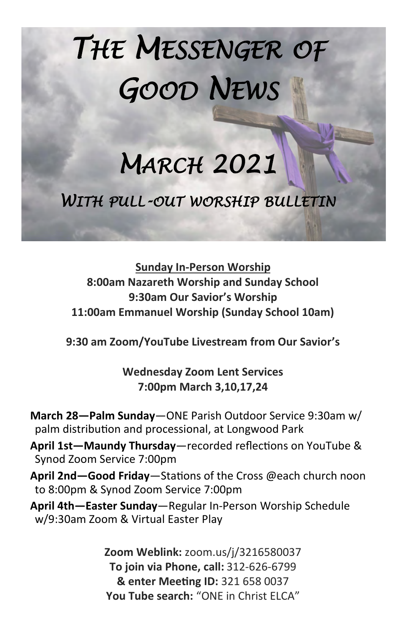## *THE MESSENGER OF GOOD NEWS*

## *MARCH 2021*

*WITH PULL-OUT WORSHIP BULLETIN* 

**Sunday In-Person Worship 8:00am Nazareth Worship and Sunday School 9:30am Our Savior's Worship 11:00am Emmanuel Worship (Sunday School 10am)**

**9:30 am Zoom/YouTube Livestream from Our Savior's**

**Wednesday Zoom Lent Services 7:00pm March 3,10,17,24**

**March 28—Palm Sunday**—ONE Parish Outdoor Service 9:30am w/ palm distribution and processional, at Longwood Park

**April 1st—Maundy Thursday**—recorded reflections on YouTube & Synod Zoom Service 7:00pm

**April 2nd—Good Friday**—Stations of the Cross @each church noon to 8:00pm & Synod Zoom Service 7:00pm

**April 4th—Easter Sunday**—Regular In-Person Worship Schedule w/9:30am Zoom & Virtual Easter Play

> **Zoom Weblink:** zoom.us/j/3216580037 **To join via Phone, call:** 312-626-6799 **& enter Meeting ID:** 321 658 0037 **You Tube search:** "ONE in Christ ELCA"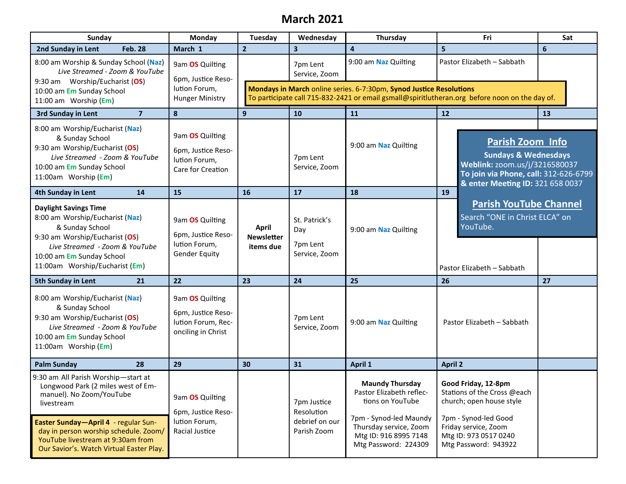## **March 2021**

| Sunday                                                                                                                                                                                                                                                                                | Monday                                                                            | Tuesday                                 | Wednesday                                                  | Thursday                                                                                                                                                                    | Fri                                                                                                                                                                             | Sat |
|---------------------------------------------------------------------------------------------------------------------------------------------------------------------------------------------------------------------------------------------------------------------------------------|-----------------------------------------------------------------------------------|-----------------------------------------|------------------------------------------------------------|-----------------------------------------------------------------------------------------------------------------------------------------------------------------------------|---------------------------------------------------------------------------------------------------------------------------------------------------------------------------------|-----|
| 2nd Sunday in Lent<br><b>Feb. 28</b>                                                                                                                                                                                                                                                  | March 1                                                                           | $\overline{2}$                          | 3                                                          | $\overline{4}$                                                                                                                                                              | 5                                                                                                                                                                               | 6   |
| 8:00 am Worship & Sunday School (Naz)<br>Live Streamed - Zoom & YouTube<br>9:30 am Worship/Eucharist (OS)<br>10:00 am Em Sunday School                                                                                                                                                | 9am OS Quilting<br>6pm, Justice Reso-<br>lution Forum,                            |                                         | 7pm Lent<br>Service, Zoom                                  | 9:00 am Naz Quilting<br>Mondays in March online series. 6-7:30pm, Synod Justice Resolutions                                                                                 | Pastor Elizabeth - Sabbath                                                                                                                                                      |     |
| 11:00 am Worship (Em)                                                                                                                                                                                                                                                                 | Hunger Ministry                                                                   |                                         |                                                            |                                                                                                                                                                             | To participate call 715-832-2421 or email gsmall@spiritlutheran.org before noon on the day of.                                                                                  |     |
| 3rd Sunday in Lent<br>$\overline{7}$                                                                                                                                                                                                                                                  | 8                                                                                 | 9                                       | <b>10</b>                                                  | <b>11</b>                                                                                                                                                                   | 12                                                                                                                                                                              | 13  |
| 8:00 am Worship/Eucharist (Naz)<br>& Sunday School<br>9:30 am Worship/Eucharist (OS)<br>Live Streamed - Zoom & YouTube<br>10:00 am Em Sunday School<br>11:00am Worship (Em)                                                                                                           | 9am OS Quilting<br>6pm, Justice Reso-<br>lution Forum,<br>Care for Creation       |                                         | 7pm Lent<br>Service, Zoom                                  | 9:00 am Naz Quilting                                                                                                                                                        | <b>Parish Zoom Info</b><br><b>Sundays &amp; Wednesdays</b><br>Weblink: zoom.us/j/3216580037<br>To join via Phone, call: 312-626-6799<br>& enter Meeting ID: 321 658 0037        |     |
| 4th Sunday in Lent<br>14                                                                                                                                                                                                                                                              | 15                                                                                | 16                                      | 17                                                         | 18                                                                                                                                                                          | 19                                                                                                                                                                              |     |
| <b>Daylight Savings Time</b><br>8:00 am Worship/Eucharist (Naz)<br>& Sunday School<br>9:30 am Worship/Eucharist (OS)<br>Live Streamed - Zoom & YouTube<br>10:00 am Em Sunday School<br>11:00am Worship/Eucharist (Em)                                                                 | 9am OS Quilting<br>6pm, Justice Reso-<br>lution Forum,<br><b>Gender Equity</b>    | April<br><b>Newsletter</b><br>items due | St. Patrick's<br>Day<br>7pm Lent<br>Service, Zoom          | 9:00 am Naz Quilting                                                                                                                                                        | <b>Parish YouTube Channel</b><br>Search "ONE in Christ ELCA" on<br>YouTube.<br>Pastor Elizabeth - Sabbath                                                                       |     |
| 5th Sunday in Lent<br>21                                                                                                                                                                                                                                                              | 22                                                                                | 23                                      | 24                                                         | 25                                                                                                                                                                          | 26                                                                                                                                                                              | 27  |
| 8:00 am Worship/Eucharist (Naz)<br>& Sunday School<br>9:30 am Worship/Eucharist (OS)<br>Live Streamed - Zoom & YouTube<br>10:00 am Em Sunday School<br>11:00am Worship (Em)                                                                                                           | 9am OS Quilting<br>6pm, Justice Reso-<br>lution Forum, Rec-<br>onciling in Christ |                                         | 7pm Lent<br>Service, Zoom                                  | 9:00 am Naz Quilting                                                                                                                                                        | Pastor Elizabeth - Sabbath                                                                                                                                                      |     |
| <b>Palm Sunday</b><br>28                                                                                                                                                                                                                                                              | 29                                                                                | 30                                      | 31                                                         | April 1                                                                                                                                                                     | <b>April 2</b>                                                                                                                                                                  |     |
| 9:30 am All Parish Worship-start at<br>Longwood Park (2 miles west of Em-<br>manuel). No Zoom/YouTube<br>livestream<br>Easter Sunday-April 4 - regular Sun-<br>day in person worship schedule. Zoom/<br>YouTube livestream at 9:30am from<br>Our Savior's. Watch Virtual Easter Play. | 9am OS Quilting<br>6pm, Justice Reso-<br>lution Forum,<br>Racial Justice          |                                         | 7pm Justice<br>Resolution<br>debrief on our<br>Parish Zoom | <b>Maundy Thursday</b><br>Pastor Elizabeth reflec-<br>tions on YouTube<br>7pm - Synod-led Maundy<br>Thursday service, Zoom<br>Mtg ID: 916 8995 7148<br>Mtg Password: 224309 | Good Friday, 12-8pm<br>Stations of the Cross @each<br>church; open house style<br>7pm - Synod-led Good<br>Friday service, Zoom<br>Mtg ID: 973 0517 0240<br>Mtg Password: 943922 |     |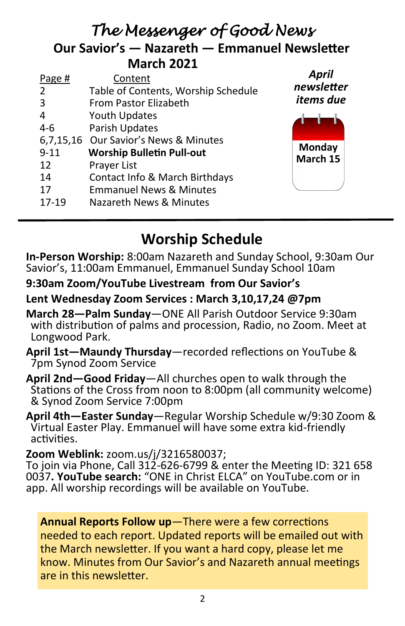#### *The Messenger of Good News*  **Our Savior's — Nazareth — Emmanuel Newsletter March 2021** *April*

| Page #         | Content                               | April                     |
|----------------|---------------------------------------|---------------------------|
| $\overline{2}$ | Table of Contents, Worship Schedule   | newsletter                |
| 3              | From Pastor Elizabeth                 | items due                 |
| 4              | <b>Youth Updates</b>                  |                           |
| $4 - 6$        | Parish Updates                        |                           |
|                | 6,7,15,16 Our Savior's News & Minutes |                           |
| $9 - 11$       | <b>Worship Bulletin Pull-out</b>      | <b>Monday</b><br>March 15 |
| 12             | Prayer List                           |                           |
| 14             | Contact Info & March Birthdays        |                           |
| 17             | <b>Emmanuel News &amp; Minutes</b>    |                           |
| $17 - 19$      | Nazareth News & Minutes               |                           |

## **Worship Schedule**

**In-Person Worship:** 8:00am Nazareth and Sunday School, 9:30am Our Savior's, 11:00am Emmanuel, Emmanuel Sunday School 10am

#### **9:30am Zoom/YouTube Livestream from Our Savior's**

- **Lent Wednesday Zoom Services : March 3,10,17,24 @7pm**
- **March 28—Palm Sunday**—ONE All Parish Outdoor Service 9:30am with distribution of palms and procession, Radio, no Zoom. Meet at Longwood Park.
- **April 1st—Maundy Thursday**—recorded reflections on YouTube & 7pm Synod Zoom Service
- **April 2nd—Good Friday**—All churches open to walk through the Stations of the Cross from noon to 8:00pm (all community welcome) & Synod Zoom Service 7:00pm
- **April 4th—Easter Sunday**—Regular Worship Schedule w/9:30 Zoom & Virtual Easter Play. Emmanuel will have some extra kid-friendly activities.

#### **Zoom Weblink:** zoom.us/j/3216580037;

To join via Phone, Call  $312 - 626 - 6799$  & enter the Meeting ID: 321 658 0037**. YouTube search:** "ONE in Christ ELCA" on YouTube.com or in app. All worship recordings will be available on YouTube.

#### **Annual Reports Follow up**—There were a few corrections

needed to each report. Updated reports will be emailed out with the March newsletter. If you want a hard copy, please let me know. Minutes from Our Savior's and Nazareth annual meetings are in this newsletter.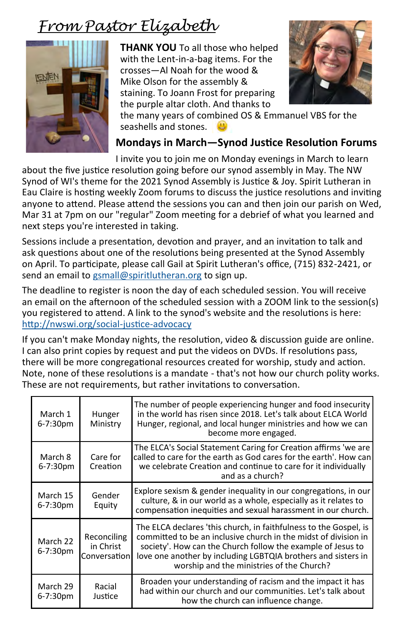## *From Pastor Elizabeth*



**THANK YOU** To all those who helped with the Lent-in-a-bag items. For the crosses—Al Noah for the wood & Mike Olson for the assembly & staining. To Joann Frost for preparing the purple altar cloth. And thanks to



the many years of combined OS & Emmanuel VBS for the seashells and stones. ш

#### **Mondays in March—Synod Justice Resolution Forums**

I invite you to join me on Monday evenings in March to learn about the five justice resolution going before our synod assembly in May. The NW Synod of WI's theme for the 2021 Synod Assembly is Justice & Joy. Spirit Lutheran in Eau Claire is hosting weekly Zoom forums to discuss the justice resolutions and inviting anyone to attend. Please attend the sessions you can and then join our parish on Wed, Mar 31 at 7pm on our "regular" Zoom meeting for a debrief of what you learned and next steps you're interested in taking.

Sessions include a presentation, devotion and prayer, and an invitation to talk and ask questions about one of the resolutions being presented at the Synod Assembly on April. To participate, please call Gail at Spirit Lutheran's office, (715) 832-2421, or send an email to [gsmall@spiritlutheran.org](mailto:gsmall@spiritlutheran.org) to sign up.

The deadline to register is noon the day of each scheduled session. You will receive an email on the afternoon of the scheduled session with a ZOOM link to the session(s) you registered to attend. A link to the synod's website and the resolutions is here: [http://nwswi.org/social](http://nwswi.org/social-justice-advocacy)-justice-advocacy

If you can't make Monday nights, the resolution, video & discussion guide are online. I can also print copies by request and put the videos on DVDs. If resolutions pass, there will be more congregational resources created for worship, study and action. Note, none of these resolutions is a mandate - that's not how our church polity works. These are not requirements, but rather invitations to conversation.

| March 1<br>6-7:30pm  | Hunger<br>Ministry                       | The number of people experiencing hunger and food insecurity<br>in the world has risen since 2018. Let's talk about ELCA World<br>Hunger, regional, and local hunger ministries and how we can<br>become more engaged.                                                                                            |
|----------------------|------------------------------------------|-------------------------------------------------------------------------------------------------------------------------------------------------------------------------------------------------------------------------------------------------------------------------------------------------------------------|
| March 8<br>6-7:30pm  | Care for<br>Creation                     | The ELCA's Social Statement Caring for Creation affirms 'we are<br>called to care for the earth as God cares for the earth'. How can<br>we celebrate Creation and continue to care for it individually<br>and as a church?                                                                                        |
| March 15<br>6-7:30pm | Gender<br>Equity                         | Explore sexism & gender inequality in our congregations, in our<br>culture, & in our world as a whole, especially as it relates to<br>compensation inequities and sexual harassment in our church.                                                                                                                |
| March 22<br>6-7:30pm | Reconciling<br>in Christ<br>Conversation | The ELCA declares 'this church, in faithfulness to the Gospel, is<br>committed to be an inclusive church in the midst of division in<br>society'. How can the Church follow the example of Jesus to<br>love one another by including LGBTQIA brothers and sisters in<br>worship and the ministries of the Church? |
| March 29<br>6-7:30pm | Racial<br>Justice                        | Broaden your understanding of racism and the impact it has<br>had within our church and our communities. Let's talk about<br>how the church can influence change.                                                                                                                                                 |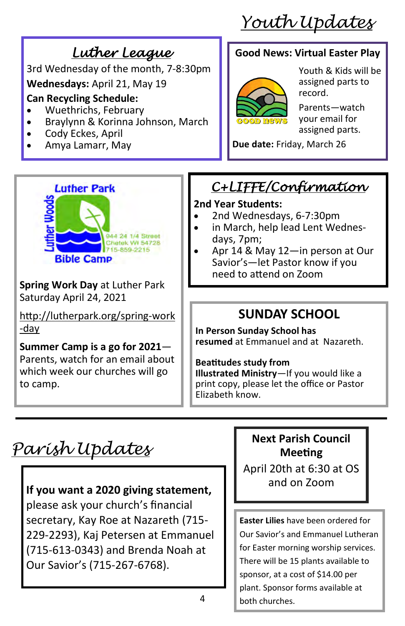*Youth Updates*

### *Luther League*

3rd Wednesday of the month, 7-8:30pm

**Wednesdays:** April 21, May 19

#### **Can Recycling Schedule:**

- Wuethrichs, February
- Braylynn & Korinna Johnson, March
- Cody Eckes, April
- Amya Lamarr, May

#### **Good News: Virtual Easter Play**



Youth & Kids will be assigned parts to record.

Parents—watch your email for assigned parts.

**Due date:** Friday, March 26



**Spring Work Day** at Luther Park Saturday April 24, 2021

[http://lutherpark.org/spring](http://lutherpark.org/spring-work-day)-work -[day](http://lutherpark.org/spring-work-day)

**Summer Camp is a go for 2021**— Parents, watch for an email about which week our churches will go to camp.

## *C+LIFFE/Confirmation*

#### **2nd Year Students:**

- 2nd Wednesdays, 6-7:30pm
- in March, help lead Lent Wednesdays, 7pm;
- Apr 14 & May 12—in person at Our Savior's—let Pastor know if you need to attend on Zoom

### **SUNDAY SCHOOL**

**In Person Sunday School has resumed** at Emmanuel and at Nazareth.

#### **Beatitudes study from**

**Illustrated Ministry**—If you would like a print copy, please let the office or Pastor Elizabeth know.

## *Parish Updates*

**If you want a 2020 giving statement,**  please ask your church's financial secretary, Kay Roe at Nazareth (715- 229-2293), Kaj Petersen at Emmanuel (715-613-0343) and Brenda Noah at Our Savior's (715-267-6768).

#### **Next Parish Council Meeting**

April 20th at 6:30 at OS and on Zoom

**Easter Lilies** have been ordered for Our Savior's and Emmanuel Lutheran for Easter morning worship services. There will be 15 plants available to sponsor, at a cost of \$14.00 per plant. Sponsor forms available at both churches.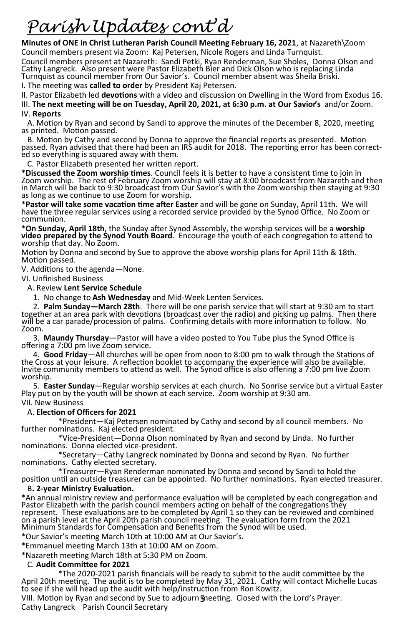## *Parish Updates cont'd*

**Minutes of ONE in Christ Lutheran Parish Council Meeting February 16, 2021**, at Nazareth\Zoom Council members present via Zoom: Kaj Petersen, Nicole Rogers and Linda Turnquist.

Council members present at Nazareth: Sandi Petki, Ryan Renderman, Sue Sholes, Donna Olson and Cathy Langreck. Also present were Pastor Elizabeth Bier and Dick Olson who is replacing Linda Turnquist as council member from Our Savior's. Council member absent was Sheila Briski.

I. The meeting was **called to order** by President Kaj Petersen.

II. Pastor Elizabeth led **devotions** with a video and discussion on Dwelling in the Word from Exodus 16.

III. **The next meeting will be on Tuesday, April 20, 2021, at 6:30 p.m. at Our Savior's** and/or Zoom. IV. **Reports** 

 A. Motion by Ryan and second by Sandi to approve the minutes of the December 8, 2020, meeting as printed. Motion passed.

 B. Motion by Cathy and second by Donna to approve the financial reports as presented. Motion passed. Ryan advised that there had been an IRS audit for 2018. The reporting error has been corrected so everything is squared away with them.

C. Pastor Elizabeth presented her written report.

\***Discussed the Zoom worship times**. Council feels it is better to have a consistent time to join in Zoom worship. The rest of February Zoom worship will stay at 8:00 broadcast from Nazareth and then in March will be back to 9:30 broadcast from Our Savior's with the Zoom worship then staying at 9:30 as long as we continue to use Zoom for worship.

\***Pastor will take some vacation time after Easter** and will be gone on Sunday, April 11th. We will have the three regular services using a recorded service provided by the Synod Office. No Zoom or communion.

\***On Sunday, April 18th**, the Sunday after Synod Assembly, the worship services will be a **worship video prepared by the Synod Youth Board**. Encourage the youth of each congregation to attend to worship that day. No Zoom.

Motion by Donna and second by Sue to approve the above worship plans for April 11th & 18th. Motion passed.

V. Additions to the agenda—None.

VI. Unfinished Business

#### A. Review **Lent Service Schedule**

1. No change to **Ash Wednesday** and Mid-Week Lenten Services.

 2. **Palm Sunday—March 28th**. There will be one parish service that will start at 9:30 am to start together at an area park with devotions (broadcast over the radio) and picking up palms. Then there will be a car parade/procession of palms. Confirming details with more information to follow. No Zoom.

 3. **Maundy Thursday**—Pastor will have a video posted to You Tube plus the Synod Office is offering a 7:00 pm live Zoom service.

4. Good Friday—All churches will be open from noon to 8:00 pm to walk through the Stations of the Cross at your leisure. A reflection booklet to accompany the experience will also be available.<br>Invite community members to worship.

 5. **Easter Sunday**—Regular worship services at each church. No Sonrise service but a virtual Easter Play put on by the youth will be shown at each service. Zoom worship at 9:30 am. VII. New Business

#### A. **Election of Officers for 2021**

\*President—Kaj Petersen nominated by Cathy and second by all council members. No further nominations. Kaj elected president.

\*Vice-President—Donna Olson nominated by Ryan and second by Linda. No further nominations. Donna elected vice-president.

\*Secretary—Cathy Langreck nominated by Donna and second by Ryan. No further nominations. Cathy elected secretary.

\*Treasurer—Ryan Renderman nominated by Donna and second by Sandi to hold the position until an outside treasurer can be appointed. No further nominations. Ryan elected treasurer.

#### B**. 2-year Ministry Evaluation.**

\*An annual ministry review and performance evaluation will be completed by each congregation and Pastor Elizabeth with the parish council members acting on behalf of the congregations they represent. These evaluations are to be completed by April 1 so they can be reviewed and combined on a parish level at the April 20th parish council meeting. The evaluation form from the 2021 Minimum Standards for Compensation and Benefits from the Synod will be used.

\*Our Savior's meeting March 10th at 10:00 AM at Our Savior's.

\*Emmanuel meeting March 13th at 10:00 AM on Zoom.

\*Nazareth meeting March 18th at 5:30 PM on Zoom.

#### C. **Audit Committee for 2021**

\*The 2020-2021 parish financials will be ready to submit to the audit committee by the April 20th meeting. The audit is to be completed by May 31, 2021. Cathy will contact Michelle Lucas to see if she will head up the audit with help/instruction from Ron Kowitz.

VIII. Motion by Ryan and second by Sue to adjourn meeting. Closed with the Lord's Prayer. Cathy Langreck Parish Council Secretary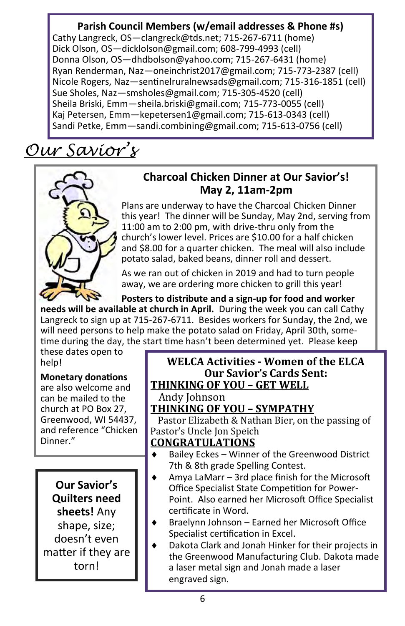**Parish Council Members (w/email addresses & Phone #s)** Cathy Langreck, OS—clangreck@tds.net; 715-267-6711 (home) Dick Olson, OS—dicklolson@gmail.com; 608-799-4993 (cell) Donna Olson, OS—dhdbolson@yahoo.com; 715-267-6431 (home) Ryan Renderman, Naz—oneinchrist2017@gmail.com; 715-773-2387 (cell) Nicole Rogers, Naz—sentinelruralnewsads@gmail.com; 715-316-1851 (cell) Sue Sholes, Naz—smsholes@gmail.com; 715-305-4520 (cell) Sheila Briski, Emm—sheila.briski@gmail.com; 715-773-0055 (cell) Kaj Petersen, Emm—kepetersen1@gmail.com; 715-613-0343 (cell) Sandi Petke, Emm—sandi.combining@gmail.com; 715-613-0756 (cell)

*Our Savior's*



#### **Charcoal Chicken Dinner at Our Savior's! May 2, 11am-2pm**

Plans are underway to have the Charcoal Chicken Dinner this year! The dinner will be Sunday, May 2nd, serving from 11:00 am to 2:00 pm, with drive-thru only from the church's lower level. Prices are \$10.00 for a half chicken and \$8.00 for a quarter chicken. The meal will also include potato salad, baked beans, dinner roll and dessert.

As we ran out of chicken in 2019 and had to turn people away, we are ordering more chicken to grill this year!

**Posters to distribute and a sign-up for food and worker needs will be available at church in April.** During the week you can call Cathy Langreck to sign up at 715-267-6711. Besides workers for Sunday, the 2nd, we will need persons to help make the potato salad on Friday, April 30th, sometime during the day, the start time hasn't been determined yet. Please keep

these dates open to help!

**Monetary donations** 

are also welcome and can be mailed to the church at PO Box 27, Greenwood, WI 54437, and reference "Chicken Dinner."

**Our Savior's Quilters need sheets!** Any shape, size; doesn't even matter if they are torn!

#### **WELCA Activities - Women of the ELCA Our Savior's Cards Sent: THINKING OF YOU – GET WELL**

Andy Johnson

#### **THINKING OF YOU – SYMPATHY**

 Pastor Elizabeth & Nathan Bier, on the passing of Pastor's Uncle Jon Speich

#### **CONGRATULATIONS**

- Bailey Eckes Winner of the Greenwood District 7th & 8th grade Spelling Contest.
- Amya LaMarr 3rd place finish for the Microsoft Office Specialist State Competition for Power-Point. Also earned her Microsoft Office Specialist certificate in Word.
- Braelynn Johnson Earned her Microsoft Office Specialist certification in Excel.
- Dakota Clark and Jonah Hinker for their projects in the Greenwood Manufacturing Club. Dakota made a laser metal sign and Jonah made a laser engraved sign.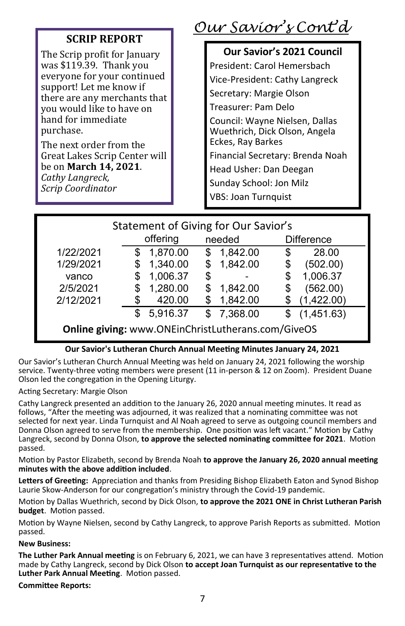#### **SCRIP REPORT**

The Scrip profit for January was \$119.39. Thank you everyone for your continued support! Let me know if there are any merchants that you would like to have on hand for immediate purchase.

The next order from the Great Lakes Scrip Center will be on **March 14, 2021**. *Cathy Langreck, Scrip Coordinator* 

## *Our Savior's Cont'd*

**Our Savior's 2021 Council** President: Carol Hemersbach Vice-President: Cathy Langreck Secretary: Margie Olson Treasurer: Pam Delo Council: Wayne Nielsen, Dallas Wuethrich, Dick Olson, Angela Eckes, Ray Barkes Financial Secretary: Brenda Noah Head Usher: Dan Deegan Sunday School: Jon Milz VBS: Joan Turnquist

| Statement of Giving for Our Savior's               |          |          |    |          |    |                   |
|----------------------------------------------------|----------|----------|----|----------|----|-------------------|
|                                                    | offering |          |    | needed   |    | <b>Difference</b> |
| 1/22/2021                                          | \$       | 1,870.00 | \$ | 1,842.00 | \$ | 28.00             |
| 1/29/2021                                          | \$       | 1,340.00 | \$ | 1,842.00 | \$ | (502.00)          |
| vanco                                              | \$       | 1,006.37 | \$ |          | \$ | 1,006.37          |
| 2/5/2021                                           | \$       | 1,280.00 | S  | 1,842.00 | \$ | (562.00)          |
| 2/12/2021                                          | \$       | 420.00   | \$ | 1,842.00 | \$ | (1,422.00)        |
|                                                    | \$       | 5,916.37 | S  | 7,368.00 | \$ | (1,451.63)        |
| Online giving: www.ONEinChristLutherans.com/GiveOS |          |          |    |          |    |                   |

#### **Our Savior's Lutheran Church Annual Meeting Minutes January 24, 2021**

Our Savior's Lutheran Church Annual Meeting was held on January 24, 2021 following the worship service. Twenty-three voting members were present (11 in-person & 12 on Zoom). President Duane Olson led the congregation in the Opening Liturgy.

#### Acting Secretary: Margie Olson

Cathy Langreck presented an addition to the January 26, 2020 annual meeting minutes. It read as follows, "After the meeting was adjourned, it was realized that a nominating committee was not selected for next year. Linda Turnquist and Al Noah agreed to serve as outgoing council members and Donna Olson agreed to serve from the membership. One position was left vacant." Motion by Cathy Langreck, second by Donna Olson, **to approve the selected nominating committee for 2021**. Motion passed.

Motion by Pastor Elizabeth, second by Brenda Noah **to approve the January 26, 2020 annual meeting minutes with the above addition included**.

**Letters of Greeting:** Appreciation and thanks from Presiding Bishop Elizabeth Eaton and Synod Bishop Laurie Skow-Anderson for our congregation's ministry through the Covid-19 pandemic.

Motion by Dallas Wuethrich, second by Dick Olson, **to approve the 2021 ONE in Christ Lutheran Parish budget**. Motion passed.

Motion by Wayne Nielsen, second by Cathy Langreck, to approve Parish Reports as submitted. Motion passed.

#### **New Business:**

**The Luther Park Annual meeting** is on February 6, 2021, we can have 3 representatives attend. Motion made by Cathy Langreck, second by Dick Olson **to accept Joan Turnquist as our representative to the Luther Park Annual Meeting**. Motion passed.

#### **Committee Reports:**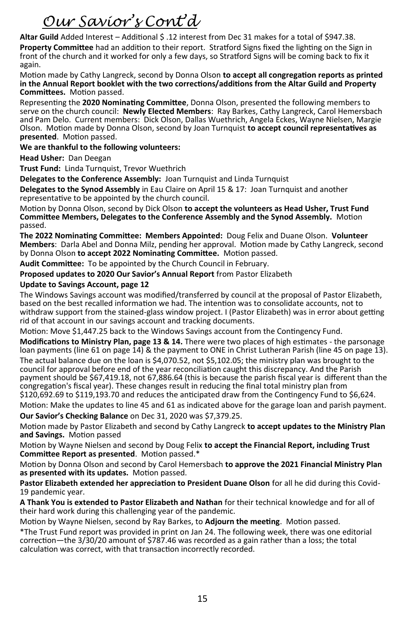## *Our Savior's Cont'd*

**Altar Guild** Added Interest – Additional \$ .12 interest from Dec 31 makes for a total of \$947.38. **Property Committee** had an addition to their report. Stratford Signs fixed the lighting on the Sign in front of the church and it worked for only a few days, so Stratford Signs will be coming back to fix it again.

Motion made by Cathy Langreck, second by Donna Olson **to accept all congregation reports as printed in the Annual Report booklet with the two corrections/additions from the Altar Guild and Property Committees.** Motion passed.

Representing the **2020 Nominating Committee**, Donna Olson, presented the following members to serve on the church council: **Newly Elected Members**: Ray Barkes, Cathy Langreck, Carol Hemersbach and Pam Delo. Current members: Dick Olson, Dallas Wuethrich, Angela Eckes, Wayne Nielsen, Margie Olson. Motion made by Donna Olson, second by Joan Turnquist **to accept council representatives as presented**. Motion passed.

**We are thankful to the following volunteers:**

**Head Usher:** Dan Deegan

**Trust Fund:** Linda Turnquist, Trevor Wuethrich

**Delegates to the Conference Assembly:** Joan Turnquist and Linda Turnquist

**Delegates to the Synod Assembly** in Eau Claire on April 15 & 17: Joan Turnquist and another representative to be appointed by the church council.

Motion by Donna Olson, second by Dick Olson **to accept the volunteers as Head Usher, Trust Fund Committee Members, Delegates to the Conference Assembly and the Synod Assembly.** Motion passed.

**The 2022 Nominating Committee: Members Appointed:** Doug Felix and Duane Olson. **Volunteer Members**: Darla Abel and Donna Milz, pending her approval. Motion made by Cathy Langreck, second by Donna Olson **to accept 2022 Nominating Committee.** Motion passed.

**Audit Committee:** To be appointed by the Church Council in February.

**Proposed updates to 2020 Our Savior's Annual Report** from Pastor Elizabeth

#### **Update to Savings Account, page 12**

The Windows Savings account was modified/transferred by council at the proposal of Pastor Elizabeth, based on the best recalled information we had. The intention was to consolidate accounts, not to withdraw support from the stained-glass window project. I (Pastor Elizabeth) was in error about getting rid of that account in our savings account and tracking documents.

Motion: Move \$1,447.25 back to the Windows Savings account from the Contingency Fund.

**Modifications to Ministry Plan, page 13 & 14.** There were two places of high estimates - the parsonage loan payments (line 61 on page 14) & the payment to ONE in Christ Lutheran Parish (line 45 on page 13).

The actual balance due on the loan is \$4,070.52, not \$5,102.05; the ministry plan was brought to the council for approval before end of the year reconciliation caught this discrepancy. And the Parish payment should be \$67,419.18, not 67,886.64 (this is because the parish fiscal year is different than the congregation's fiscal year). These changes result in reducing the final total ministry plan from \$120,692.69 to \$119,193.70 and reduces the anticipated draw from the Contingency Fund to \$6,624.

Motion: Make the updates to line 45 and 61 as indicated above for the garage loan and parish payment.

**Our Savior's Checking Balance** on Dec 31, 2020 was \$7,379.25.

Motion made by Pastor Elizabeth and second by Cathy Langreck **to accept updates to the Ministry Plan and Savings.** Motion passed

Motion by Wayne Nielsen and second by Doug Felix **to accept the Financial Report, including Trust Committee Report as presented**. Motion passed.\*

Motion by Donna Olson and second by Carol Hemersbach **to approve the 2021 Financial Ministry Plan as presented with its updates.** Motion passed.

**Pastor Elizabeth extended her appreciation to President Duane Olson** for all he did during this Covid-19 pandemic year.

**A Thank You is extended to Pastor Elizabeth and Nathan** for their technical knowledge and for all of their hard work during this challenging year of the pandemic.

Motion by Wayne Nielsen, second by Ray Barkes, to **Adjourn the meeting**. Motion passed.

\*The Trust Fund report was provided in print on Jan 24. The following week, there was one editorial correction—the 3/30/20 amount of \$787.46 was recorded as a gain rather than a loss; the total calculation was correct, with that transaction incorrectly recorded.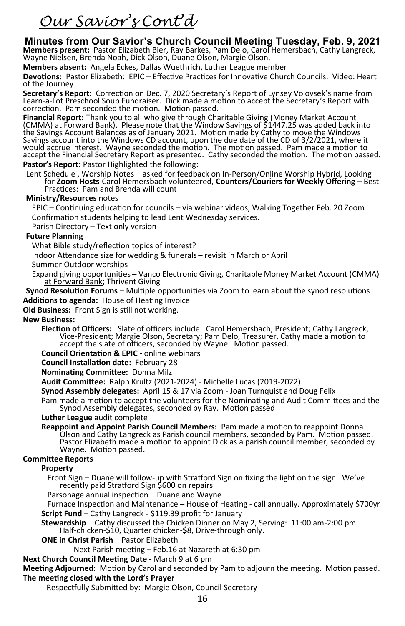*Our Savior's Cont'd*

#### **Minutes from Our Savior's Church Council Meeting Tuesday, Feb. 9, 2021**

**Members present:** Pastor Elizabeth Bier, Ray Barkes, Pam Delo, Carol Hemersbach, Cathy Langreck, Wayne Nielsen, Brenda Noah, Dick Olson, Duane Olson, Margie Olson,

**Members absent:** Angela Eckes, Dallas Wuethrich, Luther League member

**Devotions:** Pastor Elizabeth: EPIC – Effective Practices for Innovative Church Councils. Video: Heart of the Journey

**Secretary's Report:** Correction on Dec. 7, 2020 Secretary's Report of Lynsey Volovsek's name from Learn-a-Lot Preschool Soup Fundraiser. Dick made a motion to accept the Secretary's Report with correction. Pam seconded the motion. Motion passed.

**Financial Report:** Thank you to all who give through Charitable Giving (Money Market Account<br>(CMMA) at Forward Bank). Please note that the Window Savings of \$1447.25 was added back into<br>the Savings Account Balances as of would accrue interest. Wayne seconded the motion. The motion passed. Pam made a motion to accept the Financial Secretary Report as presented. Cathy seconded the motion. The motion passed. **Pastor's Report:** Pastor Highlighted the following:

Lent Schedule , Worship Notes – asked for feedback on In-Person/Online Worship Hybrid, Looking for **Zoom Hosts**-Carol Hemersbach volunteered, **Counters/Couriers for Weekly Offering** – Best Practices: Pam and Brenda will count

#### **Ministry/Resources** notes

 EPIC – Continuing education for councils – via webinar videos, Walking Together Feb. 20 Zoom Confirmation students helping to lead Lent Wednesday services.

Parish Directory – Text only version

#### **Future Planning**

What Bible study/reflection topics of interest?

Indoor Attendance size for wedding & funerals – revisit in March or April

Summer Outdoor worships

 Expand giving opportunities – Vanco Electronic Giving, Charitable Money Market Account (CMMA) at Forward Bank; Thrivent Giving

**Synod Resolution Forums** – Multiple opportunities via Zoom to learn about the synod resolutions **Additions to agenda:** House of Heating Invoice

**Old Business:** Front Sign is still not working.

#### **New Business:**

**Election of Officers:** Slate of officers include: Carol Hemersbach, President; Cathy Langreck, Vice-President; Margie Olson, Secretary; Pam Delo, Treasurer. Cathy made a motion to accept the slate of officers, seconded by Wayne. Motion passed.

**Council Orientation & EPIC -** online webinars

**Council Installation date:** February 28

**Nominating Committee:** Donna Milz

**Audit Committee:** Ralph Krultz (2021-2024) - Michelle Lucas (2019-2022)

**Synod Assembly delegates:** April 15 & 17 via Zoom - Joan Turnquist and Doug Felix

Pam made a motion to accept the volunteers for the Nominating and Audit Committees and the Synod Assembly delegates, seconded by Ray. Motion passed

**Luther League** audit complete

**Reappoint and Appoint Parish Council Members:** Pam made a motion to reappoint Donna Olson and Cathy Langreck as Parish council members, seconded by Pam. Motion passed. Pastor Elizabeth made a motion to appoint Dick as a parish council member, seconded by Wayne. Motion passed.

#### **Committee Reports**

#### **Property**

Front Sign – Duane will follow-up with Stratford Sign on fixing the light on the sign. We've recently paid Stratford Sign \$600 on repairs

Parsonage annual inspection – Duane and Wayne

 Furnace Inspection and Maintenance – House of Heating - call annually. Approximately \$700yr **Script Fund** – Cathy Langreck - \$119.39 profit for January

**Stewardship** – Cathy discussed the Chicken Dinner on May 2, Serving: 11:00 am-2:00 pm.

Half-chicken-\$10, Quarter chicken-**\$**8, Drive-through only.

**ONE in Christ Parish** – Pastor Elizabeth

Next Parish meeting – Feb.16 at Nazareth at 6:30 pm

#### **Next Church Council Meeting Date -** March 9 at 6 pm

**Meeting Adjourned**: Motion by Carol and seconded by Pam to adjourn the meeting. Motion passed. **The meeting closed with the Lord's Prayer**

Respectfully Submitted by: Margie Olson, Council Secretary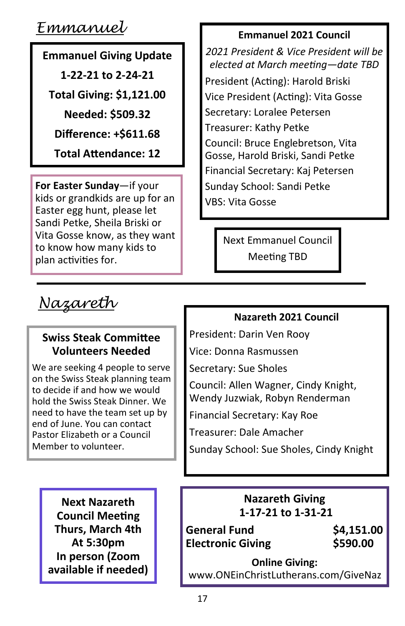#### **Emmanuel Giving Update**

**1-22-21 to 2-24-21**

**Total Giving: \$1,121.00**

**Needed: \$509.32**

**Difference: +\$611.68**

**Total Attendance: 12**

**For Easter Sunday**—if your kids or grandkids are up for an Easter egg hunt, please let Sandi Petke, Sheila Briski or Vita Gosse know, as they want to know how many kids to plan activities for.

#### **Emmanuel 2021 Council**

*2021 President & Vice President will be elected at March meeting—date TBD* President (Acting): Harold Briski Vice President (Acting): Vita Gosse Secretary: Loralee Petersen Treasurer: Kathy Petke Council: Bruce Englebretson, Vita Gosse, Harold Briski, Sandi Petke Financial Secretary: Kaj Petersen Sunday School: Sandi Petke VBS: Vita Gosse

Next Emmanuel Council Meeting TBD

**Nazareth 2021 Council**

Council: Allen Wagner, Cindy Knight, Wendy Juzwiak, Robyn Renderman

President: Darin Ven Rooy Vice: Donna Rasmussen Secretary: Sue Sholes

Financial Secretary: Kay Roe Treasurer: Dale Amacher

## *Nazareth*

#### **Swiss Steak Committee Volunteers Needed**

We are seeking 4 people to serve on the Swiss Steak planning team to decide if and how we would hold the Swiss Steak Dinner. We need to have the team set up by end of June. You can contact Pastor Elizabeth or a Council Member to volunteer.

> **Nazareth Giving 1-17-21 to 1-31-21**

Sunday School: Sue Sholes, Cindy Knight

**General Fund \$4,151.00 Electronic Giving 5590.00** 

**Online Giving:** www.ONEinChristLutherans.com/GiveNaz

**Next Nazareth Council Meeting Thurs, March 4th At 5:30pm In person (Zoom available if needed)**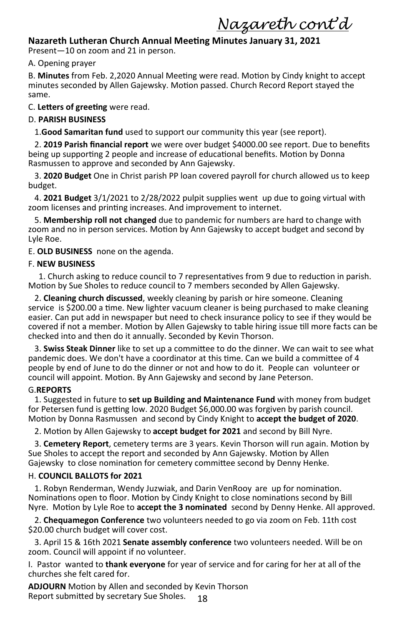*Nazareth cont'd*

#### **Nazareth Lutheran Church Annual Meeting Minutes January 31, 2021**

Present—10 on zoom and 21 in person.

#### A. Opening prayer

B. **Minutes** from Feb. 2,2020 Annual Meeting were read. Motion by Cindy knight to accept minutes seconded by Allen Gajewsky. Motion passed. Church Record Report stayed the same.

C. **Letters of greeting** were read.

#### D. **PARISH BUSINESS**

1.**Good Samaritan fund** used to support our community this year (see report).

 2. **2019 Parish financial report** we were over budget \$4000.00 see report. Due to benefits being up supporting 2 people and increase of educational benefits. Motion by Donna Rasmussen to approve and seconded by Ann Gajewsky.

3. **2020 Budget** One in Christ parish PP loan covered payroll for church allowed us to keep budget.

4. **2021 Budget** 3/1/2021 to 2/28/2022 pulpit supplies went up due to going virtual with zoom licenses and printing increases. And improvement to internet.

 5. **Membership roll not changed** due to pandemic for numbers are hard to change with zoom and no in person services. Motion by Ann Gajewsky to accept budget and second by Lyle Roe.

#### E. **OLD BUSINESS** none on the agenda.

#### F. **NEW BUSINESS**

1. Church asking to reduce council to 7 representatives from 9 due to reduction in parish. Motion by Sue Sholes to reduce council to 7 members seconded by Allen Gajewsky.

 2. **Cleaning church discussed**, weekly cleaning by parish or hire someone. Cleaning service is \$200.00 a time. New lighter vacuum cleaner is being purchased to make cleaning easier. Can put add in newspaper but need to check insurance policy to see if they would be covered if not a member. Motion by Allen Gajewsky to table hiring issue till more facts can be checked into and then do it annually. Seconded by Kevin Thorson.

 3. **Swiss Steak Dinner** like to set up a committee to do the dinner. We can wait to see what pandemic does. We don't have a coordinator at this time. Can we build a committee of 4 people by end of June to do the dinner or not and how to do it. People can volunteer or council will appoint. Motion. By Ann Gajewsky and second by Jane Peterson.

#### G.**REPORTS**

 1. Suggested in future to **set up Building and Maintenance Fund** with money from budget for Petersen fund is getting low. 2020 Budget \$6,000.00 was forgiven by parish council. Motion by Donna Rasmussen and second by Cindy Knight to **accept the budget of 2020**.

2. Motion by Allen Gajewsky to **accept budget for 2021** and second by Bill Nyre.

 3. **Cemetery Report**, cemetery terms are 3 years. Kevin Thorson will run again. Motion by Sue Sholes to accept the report and seconded by Ann Gajewsky. Motion by Allen Gajewsky to close nomination for cemetery committee second by Denny Henke.

#### H. **COUNCIL BALLOTS for 2021**

 1. Robyn Renderman, Wendy Juzwiak, and Darin VenRooy are up for nomination. Nominations open to floor. Motion by Cindy Knight to close nominations second by Bill Nyre. Motion by Lyle Roe to **accept the 3 nominated** second by Denny Henke. All approved.

 2. **Chequamegon Conference** two volunteers needed to go via zoom on Feb. 11th cost \$20.00 church budget will cover cost.

 3. April 15 & 16th 2021 **Senate assembly conference** two volunteers needed. Will be on zoom. Council will appoint if no volunteer.

I. Pastor wanted to **thank everyone** for year of service and for caring for her at all of the churches she felt cared for.

18 **ADJOURN** Motion by Allen and seconded by Kevin Thorson Report submitted by secretary Sue Sholes.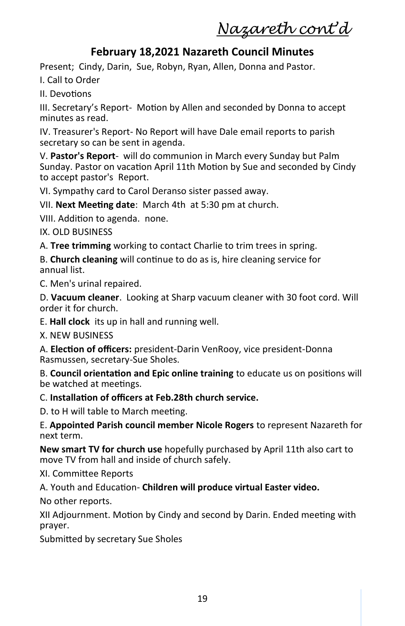*Nazareth cont'd*

#### **February 18,2021 Nazareth Council Minutes**

Present; Cindy, Darin, Sue, Robyn, Ryan, Allen, Donna and Pastor.

I. Call to Order

II. Devotions

III. Secretary's Report- Motion by Allen and seconded by Donna to accept minutes as read.

IV. Treasurer's Report- No Report will have Dale email reports to parish secretary so can be sent in agenda.

V. **Pastor's Report**- will do communion in March every Sunday but Palm Sunday. Pastor on vacation April 11th Motion by Sue and seconded by Cindy to accept pastor's Report.

VI. Sympathy card to Carol Deranso sister passed away.

VII. **Next Meeting date**: March 4th at 5:30 pm at church.

VIII. Addition to agenda. none.

IX. OLD BUSINESS

A. **Tree trimming** working to contact Charlie to trim trees in spring.

B. **Church cleaning** will continue to do as is, hire cleaning service for annual list.

C. Men's urinal repaired.

D. **Vacuum cleaner**. Looking at Sharp vacuum cleaner with 30 foot cord. Will order it for church.

E. **Hall clock** its up in hall and running well.

X. NEW BUSINESS

A. **Election of officers:** president-Darin VenRooy, vice president-Donna Rasmussen, secretary-Sue Sholes.

B. **Council orientation and Epic online training** to educate us on positions will be watched at meetings.

#### C. **Installation of officers at Feb.28th church service.**

D. to H will table to March meeting.

E. **Appointed Parish council member Nicole Rogers** to represent Nazareth for next term.

**New smart TV for church use** hopefully purchased by April 11th also cart to move TV from hall and inside of church safely.

XI. Committee Reports

A. Youth and Education- **Children will produce virtual Easter video.**

No other reports.

XII Adjournment. Motion by Cindy and second by Darin. Ended meeting with prayer.

Submitted by secretary Sue Sholes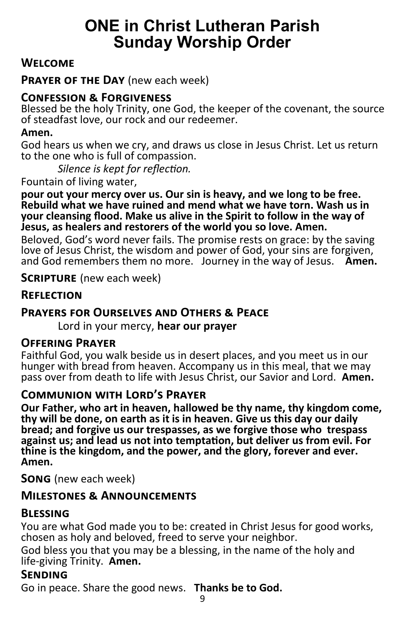## **ONE in Christ Lutheran Parish Sunday Worship Order**

#### **Welcome**

#### **PRAYER OF THE DAY** (new each week)

#### **Confession & Forgiveness**

Blessed be the holy Trinity, one God, the keeper of the covenant, the source of steadfast love, our rock and our redeemer.

#### **Amen.**

God hears us when we cry, and draws us close in Jesus Christ. Let us return to the one who is full of compassion.

*Silence is kept for reflection.*

Fountain of living water,

**pour out your mercy over us. Our sin is heavy, and we long to be free. Rebuild what we have ruined and mend what we have torn. Wash us in your cleansing flood. Make us alive in the Spirit to follow in the way of Jesus, as healers and restorers of the world you so love. Amen.**

Beloved, God's word never fails. The promise rests on grace: by the saving love of Jesus Christ, the wisdom and power of God, your sins are forgiven, love of Jesus. Amen, and God remembers them no more. Journey in the way of Jesus. **Amen.**

**SCRIPTURE** (new each week)

#### **Reflection**

#### **Prayers for Ourselves and Others & Peace**

Lord in your mercy, **hear our prayer**

#### **Offering Prayer**

Faithful God, you walk beside us in desert places, and you meet us in our hunger with bread from heaven. Accompany us in this meal, that we may pass over from death to life with Jesus Christ, our Savior and Lord. **Amen.**

#### **Communion with Lord's Prayer**

**Our Father, who art in heaven, hallowed be thy name, thy kingdom come, thy will be done, on earth as it is in heaven. Give us this day our daily bread; and forgive us our trespasses, as we forgive those who trespass against us; and lead us not into temptation, but deliver us from evil. For thine is the kingdom, and the power, and the glory, forever and ever. Amen.**

**Song** (new each week)

#### **Milestones & Announcements**

#### **Blessing**

You are what God made you to be: created in Christ Jesus for good works, chosen as holy and beloved, freed to serve your neighbor.

God bless you that you may be a blessing, in the name of the holy and life-giving Trinity. **Amen.**

#### **Sending**

Go in peace. Share the good news. **Thanks be to God.**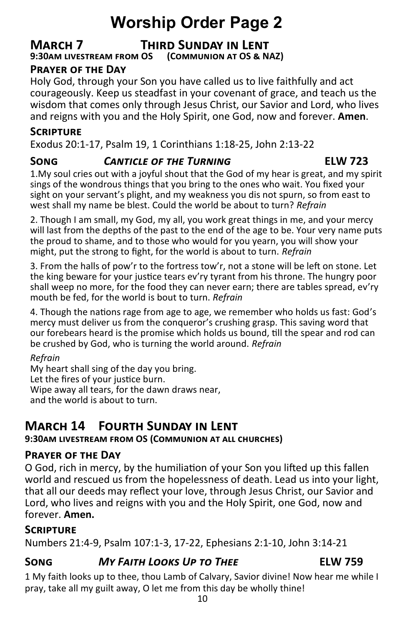## **Worship Order Page 2**

#### **March 7 Third Sunday in Lent 9:30am LIVESTREAM FROM OS**

#### **Prayer of the Day**

Holy God, through your Son you have called us to live faithfully and act courageously. Keep us steadfast in your covenant of grace, and teach us the wisdom that comes only through Jesus Christ, our Savior and Lord, who lives and reigns with you and the Holy Spirit, one God, now and forever. **Amen**.

#### **Scripture**

Exodus 20:1-17, Psalm 19, 1 Corinthians 1:18-25, John 2:13-22

#### **Song** *Canticle of the Turning* **ELW 723**

1.My soul cries out with a joyful shout that the God of my hear is great, and my spirit sings of the wondrous things that you bring to the ones who wait. You fixed your sight on your servant's plight, and my weakness you dis not spurn, so from east to west shall my name be blest. Could the world be about to turn? *Refrain* 

2. Though I am small, my God, my all, you work great things in me, and your mercy will last from the depths of the past to the end of the age to be. Your very name puts the proud to shame, and to those who would for you yearn, you will show your might, put the strong to fight, for the world is about to turn. *Refrain* 

3. From the halls of pow'r to the fortress tow'r, not a stone will be left on stone. Let the king beware for your justice tears ev'ry tyrant from his throne. The hungry poor shall weep no more, for the food they can never earn; there are tables spread, ev'ry mouth be fed, for the world is bout to turn. *Refrain* 

4. Though the nations rage from age to age, we remember who holds us fast: God's mercy must deliver us from the conqueror's crushing grasp. This saving word that our forebears heard is the promise which holds us bound, till the spear and rod can be crushed by God, who is turning the world around. *Refrain* 

#### *Refrain*

My heart shall sing of the day you bring. Let the fires of your justice burn. Wipe away all tears, for the dawn draws near, and the world is about to turn.

#### **March 14 Fourth Sunday in Lent**

#### **9:30am livestream from OS (Communion at all churches)**

#### **Prayer of the Day**

O God, rich in mercy, by the humiliation of your Son you lifted up this fallen world and rescued us from the hopelessness of death. Lead us into your light, that all our deeds may reflect your love, through Jesus Christ, our Savior and Lord, who lives and reigns with you and the Holy Spirit, one God, now and forever. **Amen.**

#### **Scripture**

Numbers 21:4-9, Psalm 107:1-3, 17-22, Ephesians 2:1-10, John 3:14-21

#### **Song** *My Faith Looks Up to Thee* **ELW 759**

1 My faith looks up to thee, thou Lamb of Calvary, Savior divine! Now hear me while I pray, take all my guilt away, O let me from this day be wholly thine!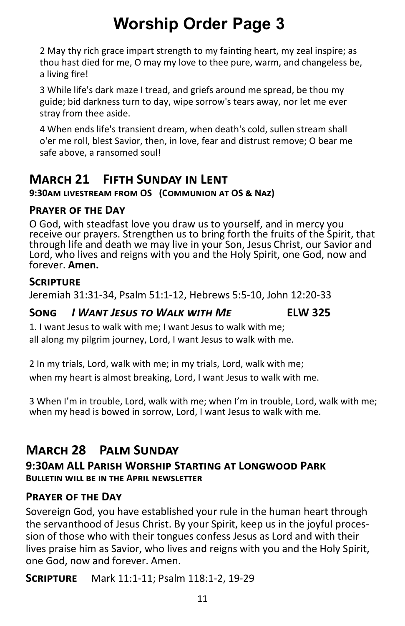## **Worship Order Page 3**

2 May thy rich grace impart strength to my fainting heart, my zeal inspire; as thou hast died for me, O may my love to thee pure, warm, and changeless be, a living fire!

3 While life's dark maze I tread, and griefs around me spread, be thou my guide; bid darkness turn to day, wipe sorrow's tears away, nor let me ever stray from thee aside.

4 When ends life's transient dream, when death's cold, sullen stream shall o'er me roll, blest Savior, then, in love, fear and distrust remove; O bear me safe above, a ransomed soul!

### **March 21 Fifth Sunday in Lent**

#### **9:30am livestream from OS (Communion at OS & Naz)**

#### **Prayer of the Day**

O God, with steadfast love you draw us to yourself, and in mercy you receive our prayers. Strengthen us to bring forth the fruits of the Spirit, that through life and death we may live in your Son, Jesus Christ, our Savior and Lord, who lives and reigns with you and the Holy Spirit, one God, now and forever. **Amen.** 

#### **Scripture**

Jeremiah 31:31-34, Psalm 51:1-12, Hebrews 5:5-10, John 12:20-33

#### **Song** *I Want Jesus to Walk with Me* **ELW 325**

1. I want Jesus to walk with me; I want Jesus to walk with me; all along my pilgrim journey, Lord, I want Jesus to walk with me.

2 In my trials, Lord, walk with me; in my trials, Lord, walk with me;

when my heart is almost breaking, Lord, I want Jesus to walk with me.

3 When I'm in trouble, Lord, walk with me; when I'm in trouble, Lord, walk with me; when my head is bowed in sorrow, Lord, I want Jesus to walk with me.

#### **March 28 Palm Sunday**

#### **9:30am ALL Parish Worship Starting at Longwood Park Bulletin will be in the April newsletter**

#### **Prayer of the Day**

Sovereign God, you have established your rule in the human heart through the servanthood of Jesus Christ. By your Spirit, keep us in the joyful procession of those who with their tongues confess Jesus as Lord and with their lives praise him as Savior, who lives and reigns with you and the Holy Spirit, one God, now and forever. Amen.

**Scripture** Mark 11:1-11; Psalm 118:1-2, 19-29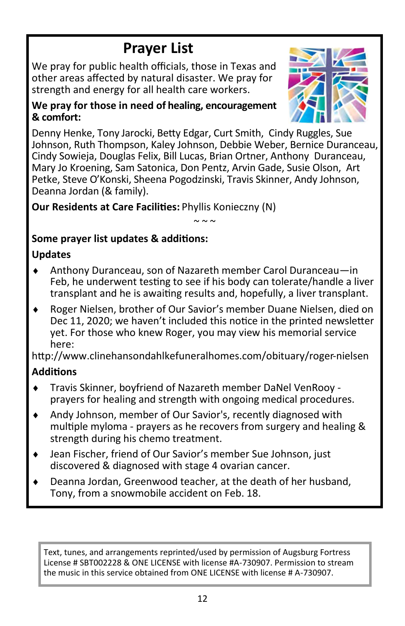## **Prayer List**

We pray for public health officials, those in Texas and other areas affected by natural disaster. We pray for strength and energy for all health care workers.

#### **We pray for those in need of healing, encouragement & comfort:**



Denny Henke, Tony Jarocki, Betty Edgar, Curt Smith, Cindy Ruggles, Sue Johnson, Ruth Thompson, Kaley Johnson, Debbie Weber, Bernice Duranceau, Cindy Sowieja, Douglas Felix, Bill Lucas, Brian Ortner, Anthony Duranceau, Mary Jo Kroening, Sam Satonica, Don Pentz, Arvin Gade, Susie Olson, Art Petke, Steve O'Konski, Sheena Pogodzinski, Travis Skinner, Andy Johnson, Deanna Jordan (& family).

**Our Residents at Care Facilities:** Phyllis Konieczny (N)

#### **Some prayer list updates & additions:**

#### **Updates**

 Anthony Duranceau, son of Nazareth member Carol Duranceau—in Feb, he underwent testing to see if his body can tolerate/handle a liver transplant and he is awaiting results and, hopefully, a liver transplant.

 $\sim$   $\sim$   $\sim$ 

 Roger Nielsen, brother of Our Savior's member Duane Nielsen, died on Dec 11, 2020; we haven't included this notice in the printed newsletter yet. For those who knew Roger, you may view his memorial service here:

http://www.clinehansondahlkefuneralhomes.com/obituary/roger-nielsen

#### **Additions**

- Travis Skinner, boyfriend of Nazareth member DaNel VenRooy prayers for healing and strength with ongoing medical procedures.
- Andy Johnson, member of Our Savior's, recently diagnosed with multiple myloma - prayers as he recovers from surgery and healing & strength during his chemo treatment.
- Jean Fischer, friend of Our Savior's member Sue Johnson, just discovered & diagnosed with stage 4 ovarian cancer.
- Deanna Jordan, Greenwood teacher, at the death of her husband, Tony, from a snowmobile accident on Feb. 18.

Text, tunes, and arrangements reprinted/used by permission of Augsburg Fortress License # SBT002228 & ONE LICENSE with license #A-730907. Permission to stream the music in this service obtained from ONE LICENSE with license # A-730907.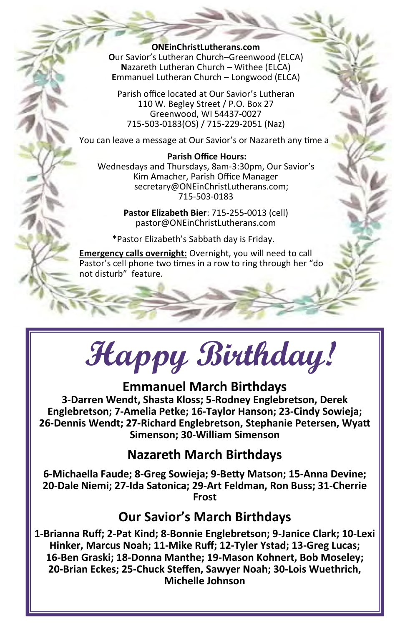**ONEinChristLutherans.com O**ur Savior's Lutheran Church–Greenwood (ELCA) **N**azareth Lutheran Church – Withee (ELCA) **E**mmanuel Lutheran Church – Longwood (ELCA)

Parish office located at Our Savior's Lutheran 110 W. Begley Street / P.O. Box 27 Greenwood, WI 54437-0027 715-503-0183(OS) / 715-229-2051 (Naz)

You can leave a message at Our Savior's or Nazareth any time a

**Parish Office Hours:** Wednesdays and Thursdays, 8am-3:30pm, Our Savior's Kim Amacher, Parish Office Manager secretary@ONEinChristLutherans.com; 715-503-0183

> **Pastor Elizabeth Bier**: 715-255-0013 (cell) pastor@ONEinChristLutherans.com

\*Pastor Elizabeth's Sabbath day is Friday.

**Emergency calls overnight:** Overnight, you will need to call Pastor's cell phone two times in a row to ring through her "do not disturb" feature.

## **Happy Birthday!**

#### **Emmanuel March Birthdays**

**3-Darren Wendt, Shasta Kloss; 5-Rodney Englebretson, Derek Englebretson; 7-Amelia Petke; 16-Taylor Hanson; 23-Cindy Sowieja; 26-Dennis Wendt; 27-Richard Englebretson, Stephanie Petersen, Wyatt Simenson; 30-William Simenson**

#### **Nazareth March Birthdays**

**6-Michaella Faude; 8-Greg Sowieja; 9-Betty Matson; 15-Anna Devine; 20-Dale Niemi; 27-Ida Satonica; 29-Art Feldman, Ron Buss; 31-Cherrie Frost**

#### **Our Savior's March Birthdays**

**1-Brianna Ruff; 2-Pat Kind; 8-Bonnie Englebretson; 9-Janice Clark; 10-Lexi Hinker, Marcus Noah; 11-Mike Ruff; 12-Tyler Ystad; 13-Greg Lucas; 16-Ben Graski; 18-Donna Manthe; 19-Mason Kohnert, Bob Moseley; 20-Brian Eckes; 25-Chuck Steffen, Sawyer Noah; 30-Lois Wuethrich, Michelle Johnson**